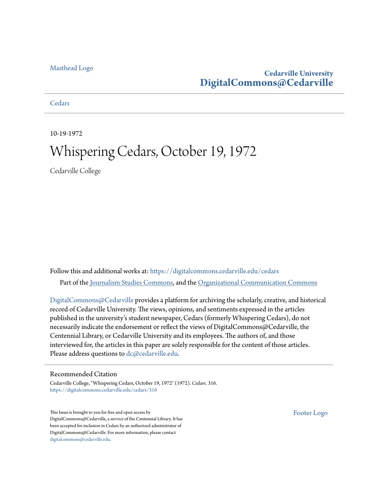### [Masthead Logo](http://www.cedarville.edu/?utm_source=digitalcommons.cedarville.edu%2Fcedars%2F316&utm_medium=PDF&utm_campaign=PDFCoverPages)

### **Cedarville University [DigitalCommons@Cedarville](https://digitalcommons.cedarville.edu?utm_source=digitalcommons.cedarville.edu%2Fcedars%2F316&utm_medium=PDF&utm_campaign=PDFCoverPages)**

**[Cedars](https://digitalcommons.cedarville.edu/cedars?utm_source=digitalcommons.cedarville.edu%2Fcedars%2F316&utm_medium=PDF&utm_campaign=PDFCoverPages)** 

10-19-1972

## Whispering Cedars, October 19, 1972

Cedarville College

Follow this and additional works at: [https://digitalcommons.cedarville.edu/cedars](https://digitalcommons.cedarville.edu/cedars?utm_source=digitalcommons.cedarville.edu%2Fcedars%2F316&utm_medium=PDF&utm_campaign=PDFCoverPages) Part of the [Journalism Studies Commons](http://network.bepress.com/hgg/discipline/333?utm_source=digitalcommons.cedarville.edu%2Fcedars%2F316&utm_medium=PDF&utm_campaign=PDFCoverPages), and the [Organizational Communication Commons](http://network.bepress.com/hgg/discipline/335?utm_source=digitalcommons.cedarville.edu%2Fcedars%2F316&utm_medium=PDF&utm_campaign=PDFCoverPages)

[DigitalCommons@Cedarville](http://digitalcommons.cedarville.edu/) provides a platform for archiving the scholarly, creative, and historical record of Cedarville University. The views, opinions, and sentiments expressed in the articles published in the university's student newspaper, Cedars (formerly Whispering Cedars), do not necessarily indicate the endorsement or reflect the views of DigitalCommons@Cedarville, the Centennial Library, or Cedarville University and its employees. The authors of, and those interviewed for, the articles in this paper are solely responsible for the content of those articles. Please address questions to [dc@cedarville.edu.](mailto:dc@cedarville.edu)

### Recommended Citation

Cedarville College, "Whispering Cedars, October 19, 1972" (1972). *Cedars*. 316. [https://digitalcommons.cedarville.edu/cedars/316](https://digitalcommons.cedarville.edu/cedars/316?utm_source=digitalcommons.cedarville.edu%2Fcedars%2F316&utm_medium=PDF&utm_campaign=PDFCoverPages)

This Issue is brought to you for free and open access by DigitalCommons@Cedarville, a service of the Centennial Library. It has been accepted for inclusion in Cedars by an authorized administrator of DigitalCommons@Cedarville. For more information, please contact [digitalcommons@cedarville.edu](mailto:digitalcommons@cedarville.edu).

[Footer Logo](http://www.cedarville.edu/Academics/Library.aspx?utm_source=digitalcommons.cedarville.edu%2Fcedars%2F316&utm_medium=PDF&utm_campaign=PDFCoverPages)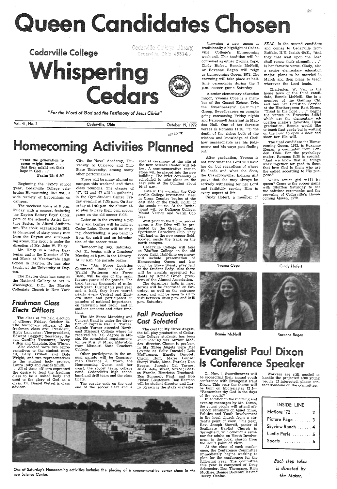# Queen Candidates Chosen



*"For the Word of God and the Testimony of Jesus Christ"* 

"That the generation to come might know... that they might set their hope in God . . ."

Vol. 41, No. 2 Cedarville, Ohio October 19, <sup>1972</sup> OCi 20 *·n;* 

# omecoming Activities Planr

The weekend opens at 8 p.m. Friday with a concert featuring the Dayton Rotary Boys' Choir, part of the school's Artist Lecture Series, in Alford Auditorium. The choir, organized in 1912, is comprised of sixty young men from the Dayton and surrounding areas. The group is under the direction of Mr. John W. Heisy.

Psalm '78: 6 &7

Beginning the 1972-73 school (year, Cedarville Cbllege celebrates Homecoming 1972 with <sup>a</sup> wide variety of happenings on campus.

to the student body project, Laura Roby and James Smith.

Mr. Heisy is a native Daytonian and is the Director of Vocal Music at Meadowdale High School in Dayton. He has also taught at the University of Dayton.

The Dayton choir has sung at the National Gallery of Art in Washington, D.C., the Marble Collegiate Church in New York

### *freshman Class Elects Ollicers*

Later on in the evening a pep rally and bonfire will be held at Cedar Lake. There will be singing, cheerleading, a pep band to liven the spirit and an introduction of the soccer team.

The class of '76 held election of officers Friday, October 13. The temporary officers of the freshmen class are: President, Kirby Lancaster; Vice-president, Edward Baggett; Secretary, Susan Gazdik; Treasurer, Becky Hilton and Chaplain, Ken Wimer.

Also elected were two repre sentatives to the student council, Sally O'Shell and Dale Wright, and two representatives

All of these officers expressed the desire to lead the freshmn class to be a united body and used to the glory of God as <sup>a</sup> class. Dr. Daniel Wetzel is class advisor.

man Clarence J. Brown, the Homecoming Queen and her court, the soccer team, college band, Cedarcliff's high school band and drill team and the class floats.

City, the Naval Academy, University of Colorado and Ohio State University, among many other performances.

There will be many alumni on campus this weekend and three class reunions. The classes of '57, '62 and '67 will be gathering in the Gym-Student Center Friday evening at 7:30 p.m. On Saturday at 1 :00 p.m. the alumni also plan to have their own soccer game on the old soccer field.

> Cedarville College will take on Bluffton College on the old<br>soccer field. Half-time ceremony will include presentation of Homecoming Queen and her court by Steve Shank, president of the Student Body. Also there will be awards presented for floats by Ronald Grosh, presi-<br>dent of the Alumni Association.

Homecoming Day, Saturday, Oct. 21, begins with a Trustees' Meeting at 8 p.m. in the Library: At 10 a.m. the parade begins.

The "Air Force Logistics Command Band," based at Wright Patterson Air Force Base, will be one of the main feature guests of the parade. The band travels thousands of miles each year. During this past year and a half, they have toured nearly every Central and Eastern state and participated in parades of national importance, on television and radio, and in outdoor concerts and other functions.

One of Saturday's Homecoming activities includes the placing of a commemorative corner stone in the. new Science Center.

# Is Conference Speaker

The Air Force Marching and Concert Band is under the direction of Captain Earl E. Turner. Captain Turner attended Northeast Missouri College where he received his B.S. degree in Music. He completed requirements for his M.A. in Music Education from Missouri State Teachers College.

Other participants in the annual parade will be Congress-

The parade ends on the east end of the soccer field and a



special ceremony at the site of the new Science Center will follow. A commemorative cornerstone will be placed into the new building. The brief ceremony is scheduled to take place on the east side of the building about 10:45 a.m.

Late in the morning the Cedarville College Invitational Meet in Cross Country begins at the east side of the track, north of the tennis courts. At the Invitational will be Defiance College, Mount Vernon and Walsh College.

Which senior girl will be queen? Come to the soccer game with Bluffton Saturday to see the halftime ceremonies and the crowning of Cedarville's Homecoming Queen, 1972.

.Just prior to the 3 p.m. soccer game, a Sky Dive will be pre-<br>sented by the Greene County Sportsmen Parachute Club. They will land on the new soccer field, located inside the track on the north campus.

> Each step *taken is directed by the Maker.*

The dormitory halls in most dorms will be decorated on Saturday, as well as the entrance areas, and will be open to all to visit between 12:30 p.m. and 2:45 p.m. Saturday.

## *fall Production Cast Selected*

The cast for My Three Angels, the fall play production of Cedarville College students, has been announced by Mrs. Miriam Maddox, director. Chosen to perform in My Three Angels were Mel Lovette as Felix Ducote!; Lois McNamara, Emelle Ducote!; Cheryl Huff, Marie Louise; Sheryl Wade, Mme. Parole; Dan Bergen, Joseph; Cal Turner, Jules; John Street, Alfred; Sharon Franks, Henrietta Trochard; Ron Summer, Paul; and Bob Fisher, Lieutenant. Don Harmon will be student director and Larry Strawn is the stage manager.

traditionally a highlight of Cedarville College's Homecoming week-end. This tradition will be continued as either Yvonna Cope, Cindy Hofert, Bonnie McNeill, or Roxanne Regan will reign as Homecoming Queen, 1972. The crowning will take place at halftime ceremonies during the <sup>3</sup> p.m. soccer game Saturday.

A senior elementary education major, Yvonna Cope is a member of the Gospel Echoes Trio, the Swordbearers' Summer Group, Swordbearers on campus going canvassing Friday nights and Personnell Assistant in Maddox Hall. One of her favorite verses is Romans 11:33, "O the depth of the riches both of the wisdom and knowledge of God! how unsearchable are his judgments and his ways past finding out."

Crowning <sup>a</sup>new queen is SEAC, is the second candidate and comes to Cedarville from Buffalo, N.Y. Isaiah 40:31, "And they that wait upon the Lord shall renew their strength . . ." is her favorite verse. Cindy, also a senior elementary education major, plans to be married in March and then plans to teach wherever the Lord leads.

267

After graduation, Yvonna is not sure what the Lord will have her do, but regardless of where He leads and what she does, the Crawfordsville, Indiana girl prays that she may always be actively witnessing for her Lord and faithfully serving Him in every aspect of life.

Cindy Hofert, a member of



Yvonna Cope



Bonnie McNeill

Charleston, W. Va., is the home town of the third candidate, Bonnie McNeill. She is <sup>a</sup> member of the Gamma Chi, and has her Christian Service at the Heathergreen Rest Home.<br>"Trust in the Lord..." begins "Trust in the Lord ... " begins the verses in Proverbs 3:5&6 which are the elementary ed ucation major's favorites. Upon graduation, Bonnie would like to teach first grade but is waiting on the Lord to open a door and show her His will.

The final candidate for Homecoming Queen, 1972, is Roxanne Regan, a commuter from London, Ohio. For the psychology major, Romans  $8:28$  is special: "And we know that all things work together for good to them that love God to them who are the called according to His purpose."



Cindy Hofert



Roxanne Regan

Evangelist Paul Dixon

On Nov. 4, Swordbearers will be sponsoring their annual youth<br>conference with Evangelist Paul Dixon. This year the theme will be built on Ecclesiastes 12:1-"Remember thy God in the days of thy youth:"

In addition to the morning and evening messages by Mr. Dixon, the young people will attend afternoon seminars on Quiet Time, Politics and Youth Involvement in the local church from a student's point of view. This year, Rev. Joseph Stowell, pastor of Southgate Baptist Church in Springfield, will conduct a seminar for adults on Youth Involvement in the local church from the adult point of view.

At the close of each conference, the Conference Committee immediately begins working to plan for the conference for the following year. The committee this year is composed of Doug Schroeder, Dan Thompson, Rich McGhee, Bonnie Bodenmiller and Becky Canine.

Workers are still needed to handle the projected 1500 young people. If interested, please contact someone on the committee.

| <b>INSIDE LINE</b> |
|--------------------|
| Elctions '72  2    |
| Picture Page  3    |
| Skyview Ranch 4    |
| Lucile Perla 5     |
| Sports             |
|                    |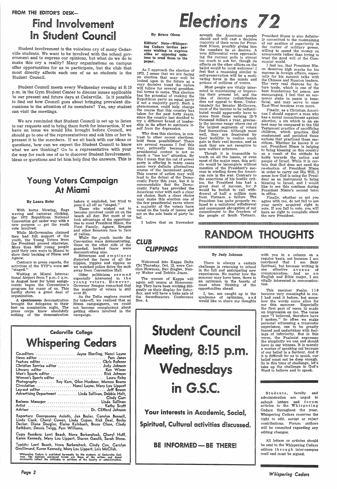### FROM THE EDITOR'S DESK-

# Find Involvement In Student Council

Student involvement is the voiceless cry of many Cedarville students. We want to be involved with the school government and to express our opinions, but what do we do to make this cry a reality? Many organizations on campus offer opportunities for us to participate, but the club that most directly affects each one of us as students is the Student Council.

Student Council meets every Wednesday evening at 8: 15 p.m. in the Gym Student Center to discuss issues applicable 'to our present and future days at Cedarville. Is it possible to find out how Council goes about bringing prevalent discussions to the attention of its members? Yes, any student can visit the meetings.

We are reminded that Student Council is set up to listen to our requests and to bring them forth for interaction. If we have an issue we would like brought before Council, we should go to one of the representatives and ask him or her to present it to the members. If we sit back with our ideas or questions, how can we expect the Student Council to know what we are thinking? Go to a representative with your the way for each one of us to discover Student Involvement. ideas or questions and let him help find the answers. This is

## Young Voters Campaign At Miami

While the  $\gamma$  vouth inside the Convention were demonstrating, those on the other side of the guarded, barbed fence were demonstrating also.

#### By Laura Roby

Bitterness and emptiness distorted the faces of all the hippies, yippies and zippies as we watched police drive the mob away from Convention Hall.

With horns blowing, flags waving and cameras clicking, the 1972 Republican National Convention got under way with <sup>a</sup> new purpose - get the youth vote involved.

While McGovernites claimed they had full support of the youth, the Young Voters from the President proved otherwise. More than 3500 young people paid their own ways to Miami to show their backing of Nixon and Agnew.

Contrary to press reports, the activities of the YVP's were not "staged."

Waiting at Miami International Airport from 7 p.m.-1 a.m. in August heat for hotel assignments began the Convention's program for many of us. This hardly shows a great deal of organization.

A spontaneous demonstration brought the delegates to their feet on nomination night. The press corps knew absolutely nothing of the demonstration

before it exploded, but tried to pass it all off as "staged."

Those who wished not to become involved could sit on the beach all day. But most of us took advantage of the opportunities to meet President Nixon, the First Family, Agnew, Reagan and other Senators face to face at rallies.

Older politicians s e em e d especially interested in the young voters. However, Governor Reagan remarked that the majority of voters is still over 35.

As the Delta engines roared for take-off, we realized that as Nixon campaigners, we could not become complacemt about getting others involved in the campaign.

# Elections 72

Cedarville College **Whispering Cedars** Co-editors . . . . . . . . . . . . . . . . . . . . Jayne Eberling, Nanci Layne

| Feature editor  Chris Rufener                                                                                                                         |  |
|-------------------------------------------------------------------------------------------------------------------------------------------------------|--|
| Christian Service editor  Judy Johnson                                                                                                                |  |
| Literary editor  Ken Wimer                                                                                                                            |  |
| Men's Sports editor  Rick Johnson                                                                                                                     |  |
| Women's Sports editor  Laura Roby                                                                                                                     |  |
| Photography  Roy Kern, Glen Huebner, Marcea Bearss                                                                                                    |  |
|                                                                                                                                                       |  |
| Circulation  Nanci Layne, Mary Lou Lippert                                                                                                            |  |
|                                                                                                                                                       |  |
|                                                                                                                                                       |  |
| Cindy Carr                                                                                                                                            |  |
| Business Manager  Linda Sullivan                                                                                                                      |  |
|                                                                                                                                                       |  |
|                                                                                                                                                       |  |
| Reporters: Georgeanna Axiotis, Jan Besler, Carolyn Bonnell,<br>Linda Cook, Cheryl Cowen, Linda Cupan, Rick Deal, Becky                                |  |
| Decker, Diana Douglas, Elaine Kalnbach, Bruce Olsen, Cindy<br>Rathburn, Dennis Twigg, Pam Williams.                                                   |  |
| Copy Readers: Lorri Beach, Nova Berkenstock, Cheryl Huff,<br>Karen Kennedy, Mary Lou Lippert, Sharon Gazdik, Sarah Stone.                             |  |
| Typists: Lorri Beach, Nova Berkenstock, Cindy Cox, Carolyn<br>Grollimund, Karen Kennedy, Mary Lou Lippert, Lois McClish.                              |  |
| Whispering Cedars is published by-weekly by the students of Cedarville Col-<br>lege. The opinions expressed herein are those of the writers and donot |  |

# Wednesdays

# in G.S.C.

*Page* 2

### By Brace Olson

Editors' Note-Whispering Cedars invites persons wishing to express alike or opposing opinions to send them to the paper.

As I approach the election of 1972, I sense that we are facing an election that may well be looked upon in the future as <sup>a</sup> very decisive trend the nation will follow for several presidential terms to come. This election has the potential of making the Republican party an equal party if not a majority party. Such <sup>a</sup> phenomenon could help change the course that this country has taken for the past forty years, since the country last decided to try a different brand of leadership in its effort to extricate itself from the depression.

> This summer Psalm 116 became very meaningful to me. I had read it before, but somehow the words came alive for me this summer. Especially the first part of verse 10 made an impression on me. The verse says "I believed, therefore have I spoken." So often we make personal witnessing a traumatic experience, one to be greatly feared and undertaken with feelings of inferiority. But in this verse, the Psalmist expresses the simplicity we can and should have in our witness. It is merely <sup>a</sup>matter of speaking out because of our belief in a Saviour. And if it is difficult for us to speak, our

Why does this election, in contrast to other recent elections, hold these possibilities? There are several reasons I feel this way, primarily because this presidential contest is not so much a "me too" situation. By this I mean that the out of power party is offering in many cases some very definite alternatives course of the incumbent party. This course of action may well lead to the defeat of the Democratic Party this year, but it is commendable that the Democratic Party has provided the American voter with such a clear cut choice. Such a clear choice may make this election one of the few presidential races where <sup>a</sup>majority of the voters have voted on the basis of issues and not on the sole basis of party label.

Students, faculty and administration are urged to submit lett**e**rs and forum articles to the Whispering Cedars throughout the year. Whispering Cedars reserves the right to edit, accept or reject contributions. Forum authors will be consulted regarding any editing changes.

seventh the American people should and will cast a decisive majority of their votes for President Nixon, possibly giving him the mandate he so desires. A vote differential even approaching the current polls is almost too much to ask for, though its effects on the other offices on the ballot would be most welcome! I feel that a reasoning similar to self-preservation will be a motivating force in the minds and actions of millions of voters.

· Most people are vitally interested in maintaining or improving · their present lot, and the idea of income redistribution dies not appeal to them. Unfortunately for Senator McGovern, most of the income to be redistributed would apparently have to come from those earning 12-'0 thousand dollars a year, precisely the income range where one of the largest segments of voters find themselves. Although most<br>well, they are frustrated by they are frustrated by their inability to realize much gain in their real income, and as such they are not receptive to new welfare schemes.

Though it is impossible to touch on all the issues, or even most of the major ones, this article would be incomplete without mention of the President's success in winding down the American role in the war. Contrary to the assertions of his hostile critics, the President has had <sup>a</sup> great deal of success, for it would be foolish to call withdrawal of half a million men from Vietnam a failure. The President has quite properly refused to a unilateral withdrawal and consequent abrogation of our commitment to the freedom of the people of South Vietnam.

President Nixon is also definitely committed to the maintaining of our position of superiority in the matter of military power, willing to spend the money on armaments rather than trying to trust the good will of the Communist world.

I feel too, that President Nixon deserves high marks for his success in foreign affairs, especially for his summit talks with the Chinese and Russian leaders. The very real chances for future trade, which is one of the best foundations for peace, are encouraging. I feel that an economic stake in peace is beneficial, and may serve to ease East-West tensions even more.

Finally, as a Christian American I should support a man who has a moral commitment against abortion, a sin which to an extent may be compared to the Old Testament practice of sacrificing children, which practice God condemned and punished those nations that practiced these sacrifices. Whether he knows it or not, President Nixon is helping to bring blessing on this country as a result of the attitude he holds towards the nation and people of Israel. While it is certain that God does not need the re-election of President Nixon in order to carry out His Will, I sense how God is using the President as an instrument to bring blessing to Israel, and I would like to see this continue during President Nixon's second term in office.

Finally, whether or not you agree with me, do not fail to use your newly acquired right to vote. If you fail to vote, you will have no right to complain about the new President.

I belive that on November 11111111m111m111111111111111111111m1mnmnnrn1mn11m1nnnmm1nn111nnmumm11111111111111111111m11m1mmmm1111111nmmm11num1111mnm11111111m1111fl

# RANDOM THOUGHTS

CLUB

### CL,IPPINGS 1111111n11111n11mmmnmnmrnnnn1nnnmm1m1111n11111n11mnnnmnmnmrnnnnnrnnnnnn11nnmnm111111111111111111n111111nnnnn11111111mn111mmm11

#### By Judy Johnson

Welcomed into Kappa Delta Chi Thursday, Oct. 12, were Carolyn Newman, Bev Ziegler, Nancy Walter and Debbie Jones.

The women of Kappa will again sell mums at Homecoming. They have been working diligently on their display for Saturday, and will have a bake sale at the Swordbearers Conference Nov. 4.

There is always a certain challenge in returning to school in the fall and anticipating new experiences. No matter how the summer may have been, there is an optimism in the hearts of most when thinking of the opportunities ahead.

I, too, am caught up in the syndrome of optimism, and would like to share my thoughts

Student Council ting, 8:15

### Your interests in Academic, Social,

Spiritual, Cultural activities discussed.

### BE INFORMED - BE THERE!

with you in a column on <sup>a</sup> regular basis, not because I am convinced that I am Suzy Spiritual, but because writing is<br>one effective avenue of effective a v e nue of communication. And as an English and Bible major, I am vitally interested in communication.

belief must not be deep enough. So in this time of challenge, let's take up the challenge in God's Word to believe and to speak.

All letters or articles should be sent to the Whispering Cedars editors through inter-campus mail and must be signed.

*Whispering Cedars..*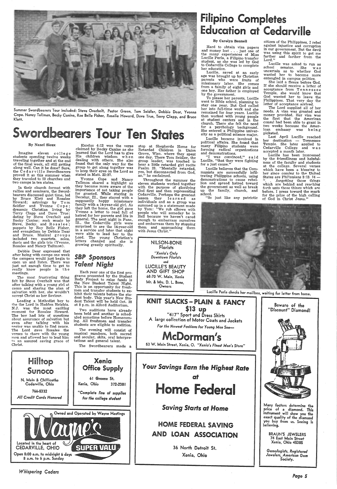

Summer Swordbearers Tour included: Steve Overholt, Pastor Green, Tom Seidler, Debbie Dear, Yvonna<br>Cope. Nancy Tallman, Becky Canine, Rae Belle Fisher, Rosalie Howard, Dave True, Terry Clapp, and Bruce<br>Klett.

# Swordbearers Tour Ten States state a Philippine university is a political science major. Picketed.

## **Filipino Completes** Education at Cedarville

### By Carolyn Bonnell

Hard to obtain visa papers<br>and money lost . . . just one of<br>the many experiences of Miss<br>Lucille Perla, a Filipino transfer student, as she was led by God to Cedarville College to complete her education.

Lucille, saved at an early age was brought up by Christian parents who were fruits of missionary labor. She comes from a family of eight girls and one boy. Her father is employed by the government.

citizen of the Philippines, I rebel against injustice and corruption in our government. But the devil was using this spirit to get me farther and farther from the Lord."

To please her parents, Lucille stay one year. But God called her into full-time work and she remained for four years. Lucille then worked with young people<br>at student centers and in the church. There she felt the need for a psychology background.<br>She entered a Philippine univer-<br>sity as a political science major.

 Lucille was asked to run as school senator. She was uncertain as to whether God wanted her to become more entangled in campus politics. She laid a fleece before God.

needs. A visa was granted and money provided. Her visa was the first that the American consul had been able to grant in two weeks because the Amer-

 If she should receive a letter of acceptance from T en n es s e e Temple, she would know that God wanted her to leave the Philippines. That very day the letter of acceptance arrived.

Imagine eleven college<br>students spending twelve weeks traveling together and at the end<br>of the final week, all still getting along well. Can it be done? Sure, the Cedar ville Swordbearers proved it so this summer when they traveled to 59 churches and two camps in ten states.

In their church format with rallies and seminars, the Swordbearers discussed quiet time, led by Bruce Klett and Rosalee Howard; astrology by Tom Seidler and Yvonne Cope ; dynamic Christian living by Terry Clapp and Dave True; dating by Steve Overholt and Becky Canine; rock music by Steve, Becky, and Rosalee;<br>puppets by Ray Belle Fisher, and evangelism by Debbie Dear<br>and Bruce. Musical groups included two quartets, solos, duets and the girls trio (Yvonne, Rosalee and Nancy Tallmon).

Leading a Methodist boy to the the Lord in Hadden Heights. N.J. was the most exciting moment for Rosalee Howard. The boy had lots of questions about assurance of salvation but even after talking with his nastor was unable to find peace.<br>The Lord gave Rosalee the verses to share with the young  $m$ an and allowed her to lead him to an assured saving grace of Christ.

#### By Nanci Sioux

Yvonne Cope and Nancy<br>Tallmon shared a highlight as<br>they became more aware of the they became more aware of the<br>importance of not taking people for granted. While staying in Decatur, Ill., they stayed with a supposedly happy missionary family with a 14-year-old girl. As they left the home, the girl gave Yvonne a letter to read full of hatred for her parents and life in general. The next night in Pana, Ill., the Cedarville girls were surprised to see the 14-year-old in a service and later that night were able to lead her to the Lord. The young Christian's letters changed and she is growing greatly spiritually.

Two auditions have already<br>been held and another is scheduled sometime before Homecoming. All freshmen and transfer students are eligible to audition.

Debbie Dear expressed that after being with camps one week the campers would just begin to open up and listen. There was just not enough time to get to really know people in th <sup>e</sup> meetings.

The most frustrating thing felt by Steve Overholt was that after talking with <sup>a</sup>young girl at camn and sharing the plan of salvation with her, she wouldn't accept Christ as her Saviour.

Throughout the summer the<br>eleven students worked together with the purpose of glorifying<br>God first and then representing<br>Cedarville. Perhaps the greatest<br>lesson they le arn e d as individuals and as <sup>a</sup>group was summed up in a statement made by Tom: "We rub elbows with people who will someday be in Hell because we haven't cared enough to embarrass ourselves and embarrass them by stopping them and approaching them with Jesus Christ."

> LUCILLE'S BEAUTY AND GIFT SHOP 68-70 W. Main, Xenia

"I was convinced," said Lucille, "that they were fighting for a just cause."



N. Main & Chillicothe Cedarville, Ohio

766-5332 *All Credit Cards Honored* 

Exodus 4:12 was the verse claimed by Becky Canine as she learned that the Lord has to give His children wisdom when dealing with others. She also found that the only way for the group to get along together was to keep their eyes on the Lord as stated in Matt. 22:37.

> Many factors determine the price of a diamond. This instrument will show you the exact quality of the diamond you buy from us. Seeing is believing.

Gemologists, Registered Jewelers, American Gem *Society.* 

*SBP Sponsors Talent Night* 

Each year one of the first programs presented by the Student<br>Body Project to raise funds is<br>the New Student Talent Night. This is an opportunity for freshmen and transfer students to exhibit their talents before the student body. This year's New Student Talent will be held Oct. 28 at 8 p.m. in Alford Auditorium.

The evening will consist of musical numbers, both sacred and secular, skits, oral interpre- tations and general talent.

The Swordbearers made a

Xenia Office Supply 61 Greene St. Xenia, Ohio 372-2381 *"Complete line ol supplies lor the college student* 



*Whispering Cedars* 

stop at Shepherds Home for Retarded Children in Union Grove, Wisc. where they spent one day. There Tom Seidler, the group leader, was touched to hear a little retarded *girl* recite Psalm 23. "Mentally retarded, yes, but disconnected from God, no," he exclaimed.

> NILSON-BONE Florists *"Xenia's Only Downfown Florisfs*  and Mr. & Mrs. D. l. Bone, Owners

Lucille became involved in political affairs. She found that many Filipino students were forming radical organizations and demonstrations.

Lucille believes that the Communists are successfully infil- trating Philippine schools, using demonstrations to cause rebellion and spread hatred toward the government as well as break up the family, church, and school.

"So just like any patriotic

Last April Lucille reached her destination -- Tennessee Temple. She later applied to Temple. The later applied to Cedarville College and w as accepted a month later.

Lucille has been imnressed by the friendliness and helpfulness of the faculty and students at the college. Several verses which have been a blessing to her since coming to the United States are Philippians  $3:13. 14 -$ <br>". . .forgetting those things which are behind and reaching forth unto those things which are before, I press toward the mark for the prize of the high calling of God in Christ Jesus."



Lucille Perla checks her mailbox, waiting for letter from home.





36 North Detroit St. Xenia, Ohio



BRAUN'S JEWELERS 74 East Main Street Xenia, Ohio 45385

*Page 5*